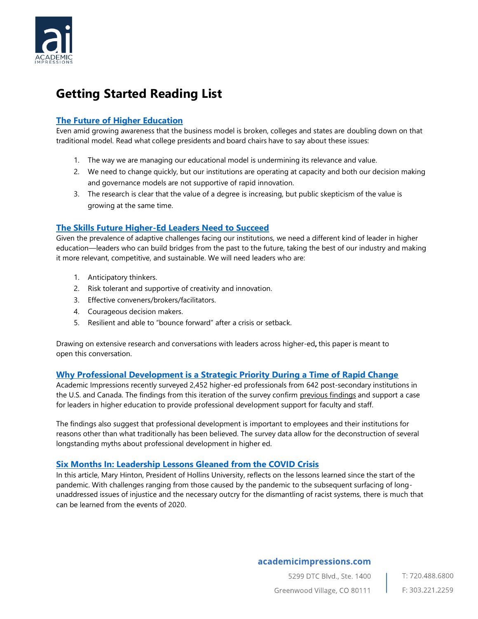

# **Getting Started Reading List**

## **[The Future of Higher Education](https://www.academicimpressions.com/the-future-of-higher-education/)**

Even amid growing awareness that the business model is broken, colleges and states are doubling down on that traditional model. Read what college presidents and board chairs have to say about these issues:

- 1. The way we are managing our educational model is undermining its relevance and value.
- 2. We need to change quickly, but our institutions are operating at capacity and both our decision making and governance models are not supportive of rapid innovation.
- 3. The research is clear that the value of a degree is increasing, but public skepticism of the value is growing at the same time.

## **[The Skills Future Higher-Ed Leaders Need to Succeed](https://www.academicimpressions.com/blog/report-the-skills-future-higher-ed-leaders-need-to-succeed/)**

Given the prevalence of adaptive challenges facing our institutions, we need a different kind of leader in higher education—leaders who can build bridges from the past to the future, taking the best of our industry and making it more relevant, competitive, and sustainable. We will need leaders who are:

- 1. Anticipatory thinkers.
- 2. Risk tolerant and supportive of creativity and innovation.
- 3. Effective conveners/brokers/facilitators.
- 4. Courageous decision makers.
- 5. Resilient and able to "bounce forward" after a crisis or setback.

Drawing on extensive research and conversations with leaders across higher-ed**,** this paper is meant to open this conversation.

#### **[Why Professional Development is a Strategic Priority During a Time of Rapid Change](https://www.academicimpressions.com/blog/professional-development-in-higher-education-report/)**

Academic Impressions recently surveyed 2,452 higher-ed professionals from 642 post-secondary institutions in the U.S. and Canada. The findings from this iteration of the survey confirm [previous findings](https://www.academicimpressions.com/wp-content/uploads/2018/06/pd-report-2017.pdf) and support a case for leaders in higher education to provide professional development support for faculty and staff.

The findings also suggest that professional development is important to employees and their institutions for reasons other than what traditionally has been believed. The survey data allow for the deconstruction of several longstanding myths about professional development in higher ed.

#### **[Six Months In: Leadership Lessons Gleaned from the COVID Crisis](https://www.academicimpressions.com/blog/six-months-in-leadership-lessons-gleaned-from-the-covid-crisis/)**

In this article, Mary Hinton, President of Hollins University, reflects on the lessons learned since the start of the pandemic. With challenges ranging from those caused by the pandemic to the subsequent surfacing of longunaddressed issues of injustice and the necessary outcry for the dismantling of racist systems, there is much that can be learned from the events of 2020.

### academicimpressions.com

5299 DTC Blvd., Ste. 1400 T: 720.488.6800 Greenwood Village, CO 80111 F: 303.221.2259